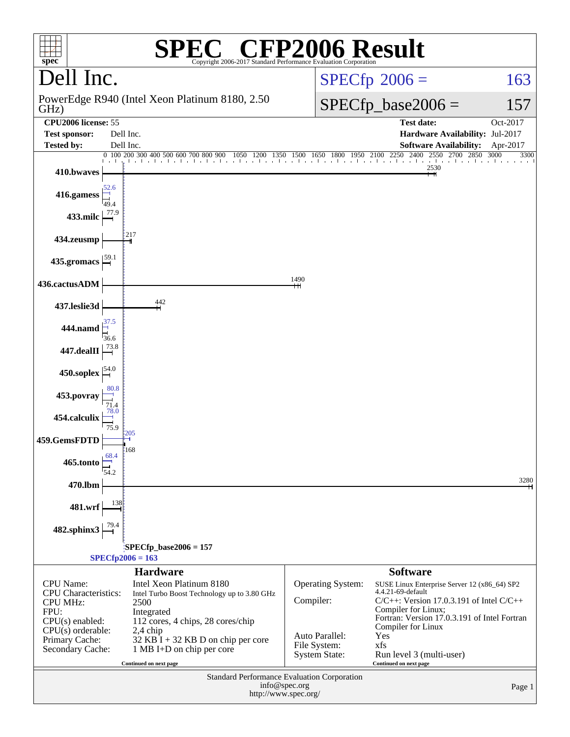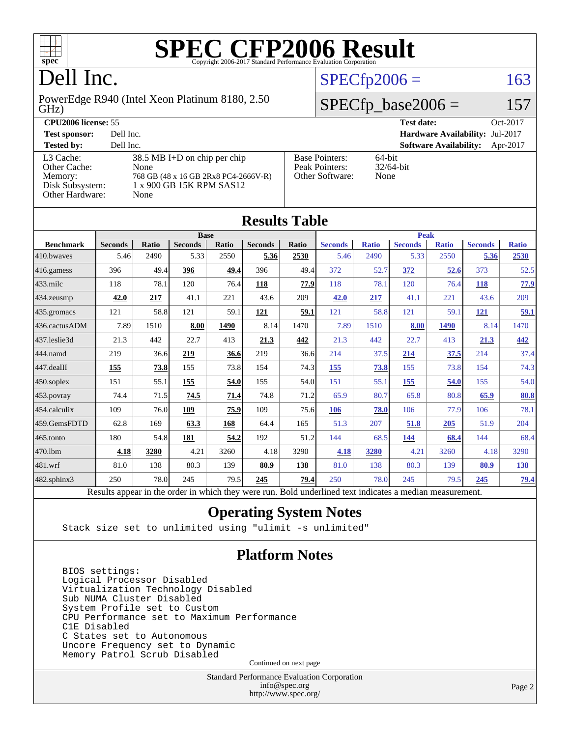

## Dell Inc.

GHz) PowerEdge R940 (Intel Xeon Platinum 8180, 2.50

#### **[CPU2006 license:](http://www.spec.org/auto/cpu2006/Docs/result-fields.html#CPU2006license)** 55 **[Test date:](http://www.spec.org/auto/cpu2006/Docs/result-fields.html#Testdate)** Oct-2017

[Other Cache:](http://www.spec.org/auto/cpu2006/Docs/result-fields.html#OtherCache) [Other Hardware:](http://www.spec.org/auto/cpu2006/Docs/result-fields.html#OtherHardware) None

**[Tested by:](http://www.spec.org/auto/cpu2006/Docs/result-fields.html#Testedby)** Dell Inc. **[Software Availability:](http://www.spec.org/auto/cpu2006/Docs/result-fields.html#SoftwareAvailability)** Apr-2017 [L3 Cache:](http://www.spec.org/auto/cpu2006/Docs/result-fields.html#L3Cache) 38.5 MB I+D on chip per chip<br>Other Cache: None [Memory:](http://www.spec.org/auto/cpu2006/Docs/result-fields.html#Memory) 768 GB (48 x 16 GB 2Rx8 PC4-2666V-R) [Disk Subsystem:](http://www.spec.org/auto/cpu2006/Docs/result-fields.html#DiskSubsystem) 1 x 900 GB 15K RPM SAS12

| <b>Test sponsor:</b> | Dell Inc.                              |                       | <b>Hardware Availability: Jul-2017</b> |          |
|----------------------|----------------------------------------|-----------------------|----------------------------------------|----------|
| <b>Tested by:</b>    | Dell Inc.                              |                       | <b>Software Availability:</b>          | Apr-2017 |
| L3 Cache:            | $38.5 \text{ MB}$ I+D on chip per chip | <b>Base Pointers:</b> | 64-bit                                 |          |
| Other Cache:         | None.                                  | Peak Pointers:        | $32/64$ -bit                           |          |
| Memory:              | 768 GB (48 x 16 GB 2Rx8 PC4-2666V-R)   | Other Software:       | None                                   |          |

 $SPECfp2006 = 163$  $SPECfp2006 = 163$ 

 $SPECfp\_base2006 = 157$ 

| <b>Results Table</b> |                                                                                                          |              |                |             |                |              |                |              |                |              |                |              |
|----------------------|----------------------------------------------------------------------------------------------------------|--------------|----------------|-------------|----------------|--------------|----------------|--------------|----------------|--------------|----------------|--------------|
|                      | <b>Base</b>                                                                                              |              |                | <b>Peak</b> |                |              |                |              |                |              |                |              |
| <b>Benchmark</b>     | <b>Seconds</b>                                                                                           | <b>Ratio</b> | <b>Seconds</b> | Ratio       | <b>Seconds</b> | <b>Ratio</b> | <b>Seconds</b> | <b>Ratio</b> | <b>Seconds</b> | <b>Ratio</b> | <b>Seconds</b> | <b>Ratio</b> |
| 410.bwayes           | 5.46                                                                                                     | 2490         | 5.33           | 2550        | 5.36           | 2530         | 5.46           | 2490         | 5.33           | 2550         | 5.36           | 2530         |
| 416.gamess           | 396                                                                                                      | 49.4         | 396            | 49.4        | 396            | 49.4         | 372            | 52.7         | 372            | 52.6         | 373            | 52.5         |
| 433.milc             | 118                                                                                                      | 78.1         | 120            | 76.4        | 118            | 77.9         | 118            | 78.1         | 120            | 76.4         | <b>118</b>     | 77.9         |
| 434.zeusmp           | 42.0                                                                                                     | 217          | 41.1           | 221         | 43.6           | 209          | 42.0           | 217          | 41.1           | 221          | 43.6           | 209          |
| 435.gromacs          | 121                                                                                                      | 58.8         | 121            | 59.1        | 121            | 59.1         | 121            | 58.8         | 121            | 59.1         | <u>121</u>     | 59.1         |
| 436.cactusADM        | 7.89                                                                                                     | 1510         | 8.00           | 1490        | 8.14           | 1470         | 7.89           | 1510         | 8.00           | <b>1490</b>  | 8.14           | 1470         |
| 437.leslie3d         | 21.3                                                                                                     | 442          | 22.7           | 413         | 21.3           | 442          | 21.3           | 442          | 22.7           | 413          | 21.3           | 442          |
| 444.namd             | 219                                                                                                      | 36.6         | 219            | 36.6        | 219            | 36.6         | 214            | 37.5         | 214            | 37.5         | 214            | 37.4         |
| 447.dealII           | 155                                                                                                      | 73.8         | 155            | 73.8        | 154            | 74.3         | 155            | 73.8         | 155            | 73.8         | 154            | 74.3         |
| $450$ .soplex        | 151                                                                                                      | 55.1         | 155            | 54.0        | 155            | 54.0         | 151            | 55.1         | 155            | 54.0         | 155            | 54.0         |
| 453.povray           | 74.4                                                                                                     | 71.5         | 74.5           | 71.4        | 74.8           | 71.2         | 65.9           | 80.7         | 65.8           | 80.8         | 65.9           | 80.8         |
| 454.calculix         | 109                                                                                                      | 76.0         | 109            | 75.9        | 109            | 75.6         | 106            | 78.0         | 106            | 77.9         | 106            | 78.1         |
| 459.GemsFDTD         | 62.8                                                                                                     | 169          | 63.3           | 168         | 64.4           | 165          | 51.3           | 207          | 51.8           | 205          | 51.9           | 204          |
| 465.tonto            | 180                                                                                                      | 54.8         | 181            | 54.2        | 192            | 51.2         | 144            | 68.5         | 144            | 68.4         | 144            | 68.4         |
| 470.1bm              | 4.18                                                                                                     | 3280         | 4.21           | 3260        | 4.18           | 3290         | 4.18           | 3280         | 4.21           | 3260         | 4.18           | 3290         |
| 481.wrf              | 81.0                                                                                                     | 138          | 80.3           | 139         | 80.9           | 138          | 81.0           | 138          | 80.3           | 139          | 80.9           | <b>138</b>   |
| $482$ .sphinx $3$    | 250                                                                                                      | 78.0         | 245            | 79.5        | 245            | 79.4         | 250            | 78.0         | 245            | 79.5         | 245            | 79.4         |
|                      | Results appear in the order in which they were run. Bold underlined text indicates a median measurement. |              |                |             |                |              |                |              |                |              |                |              |

#### **[Operating System Notes](http://www.spec.org/auto/cpu2006/Docs/result-fields.html#OperatingSystemNotes)**

Stack size set to unlimited using "ulimit -s unlimited"

#### **[Platform Notes](http://www.spec.org/auto/cpu2006/Docs/result-fields.html#PlatformNotes)**

 BIOS settings: Logical Processor Disabled Virtualization Technology Disabled Sub NUMA Cluster Disabled System Profile set to Custom CPU Performance set to Maximum Performance C1E Disabled C States set to Autonomous Uncore Frequency set to Dynamic Memory Patrol Scrub Disabled

Continued on next page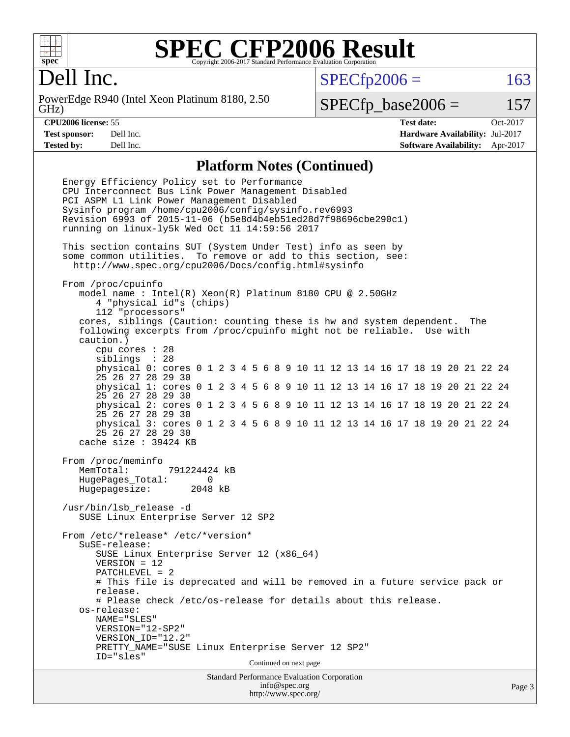

## Dell Inc.

GHz) PowerEdge R940 (Intel Xeon Platinum 8180, 2.50  $SPECTp2006 = 163$ 

 $SPECTp\_base2006 = 157$ 

**[CPU2006 license:](http://www.spec.org/auto/cpu2006/Docs/result-fields.html#CPU2006license)** 55 **[Test date:](http://www.spec.org/auto/cpu2006/Docs/result-fields.html#Testdate)** Oct-2017 **[Test sponsor:](http://www.spec.org/auto/cpu2006/Docs/result-fields.html#Testsponsor)** Dell Inc. **[Hardware Availability:](http://www.spec.org/auto/cpu2006/Docs/result-fields.html#HardwareAvailability)** Jul-2017 **[Tested by:](http://www.spec.org/auto/cpu2006/Docs/result-fields.html#Testedby)** Dell Inc. **[Software Availability:](http://www.spec.org/auto/cpu2006/Docs/result-fields.html#SoftwareAvailability)** Apr-2017

#### **[Platform Notes \(Continued\)](http://www.spec.org/auto/cpu2006/Docs/result-fields.html#PlatformNotes)**

Standard Performance Evaluation Corporation Energy Efficiency Policy set to Performance CPU Interconnect Bus Link Power Management Disabled PCI ASPM L1 Link Power Management Disabled Sysinfo program /home/cpu2006/config/sysinfo.rev6993 Revision 6993 of 2015-11-06 (b5e8d4b4eb51ed28d7f98696cbe290c1) running on linux-ly5k Wed Oct 11 14:59:56 2017 This section contains SUT (System Under Test) info as seen by some common utilities. To remove or add to this section, see: <http://www.spec.org/cpu2006/Docs/config.html#sysinfo> From /proc/cpuinfo model name : Intel(R) Xeon(R) Platinum 8180 CPU @ 2.50GHz 4 "physical id"s (chips) 112 "processors" cores, siblings (Caution: counting these is hw and system dependent. The following excerpts from /proc/cpuinfo might not be reliable. Use with caution.) cpu cores : 28 siblings : 28 physical 0: cores 0 1 2 3 4 5 6 8 9 10 11 12 13 14 16 17 18 19 20 21 22 24 25 26 27 28 29 30 physical 1: cores 0 1 2 3 4 5 6 8 9 10 11 12 13 14 16 17 18 19 20 21 22 24 25 26 27 28 29 30 physical 2: cores 0 1 2 3 4 5 6 8 9 10 11 12 13 14 16 17 18 19 20 21 22 24 25 26 27 28 29 30 physical 3: cores 0 1 2 3 4 5 6 8 9 10 11 12 13 14 16 17 18 19 20 21 22 24 25 26 27 28 29 30 cache size : 39424 KB From /proc/meminfo MemTotal: 791224424 kB HugePages\_Total: 0 Hugepagesize: 2048 kB /usr/bin/lsb\_release -d SUSE Linux Enterprise Server 12 SP2 From /etc/\*release\* /etc/\*version\* SuSE-release: SUSE Linux Enterprise Server 12 (x86\_64) VERSION = 12 PATCHLEVEL = 2 # This file is deprecated and will be removed in a future service pack or release. # Please check /etc/os-release for details about this release. os-release: NAME="SLES" VERSION="12-SP2" VERSION\_ID="12.2" PRETTY\_NAME="SUSE Linux Enterprise Server 12 SP2" ID="sles" Continued on next page

[info@spec.org](mailto:info@spec.org) <http://www.spec.org/>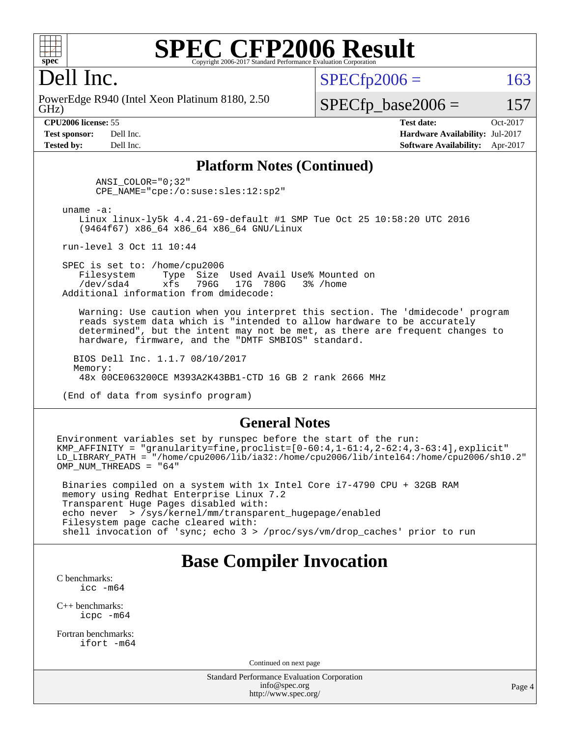

#### Dell Inc.

GHz) PowerEdge R940 (Intel Xeon Platinum 8180, 2.50  $SPECTp2006 = 163$ 

#### $SPECfp\_base2006 = 157$

**[CPU2006 license:](http://www.spec.org/auto/cpu2006/Docs/result-fields.html#CPU2006license)** 55 **[Test date:](http://www.spec.org/auto/cpu2006/Docs/result-fields.html#Testdate)** Oct-2017 **[Test sponsor:](http://www.spec.org/auto/cpu2006/Docs/result-fields.html#Testsponsor)** Dell Inc. **[Hardware Availability:](http://www.spec.org/auto/cpu2006/Docs/result-fields.html#HardwareAvailability)** Jul-2017 **[Tested by:](http://www.spec.org/auto/cpu2006/Docs/result-fields.html#Testedby)** Dell Inc. **[Software Availability:](http://www.spec.org/auto/cpu2006/Docs/result-fields.html#SoftwareAvailability)** Apr-2017

#### **[Platform Notes \(Continued\)](http://www.spec.org/auto/cpu2006/Docs/result-fields.html#PlatformNotes)**

 ANSI\_COLOR="0;32" CPE\_NAME="cpe:/o:suse:sles:12:sp2"

uname -a:

 Linux linux-ly5k 4.4.21-69-default #1 SMP Tue Oct 25 10:58:20 UTC 2016 (9464f67) x86\_64 x86\_64 x86\_64 GNU/Linux

run-level 3 Oct 11 10:44

SPEC is set to: /home/cpu2006<br>Filesystem Type Size Type Size Used Avail Use% Mounted on /dev/sda4 xfs 796G 17G 780G 3% /home Additional information from dmidecode:

 Warning: Use caution when you interpret this section. The 'dmidecode' program reads system data which is "intended to allow hardware to be accurately determined", but the intent may not be met, as there are frequent changes to hardware, firmware, and the "DMTF SMBIOS" standard.

 BIOS Dell Inc. 1.1.7 08/10/2017 Memory: 48x 00CE063200CE M393A2K43BB1-CTD 16 GB 2 rank 2666 MHz

(End of data from sysinfo program)

#### **[General Notes](http://www.spec.org/auto/cpu2006/Docs/result-fields.html#GeneralNotes)**

Environment variables set by runspec before the start of the run: KMP\_AFFINITY = "granularity=fine,proclist= $[0-60:4,1-61:4,2-62:4,3-63:4]$ ,explicit" LD\_LIBRARY\_PATH = "/home/cpu2006/lib/ia32:/home/cpu2006/lib/intel64:/home/cpu2006/sh10.2" OMP NUM THREADS = "64"

 Binaries compiled on a system with 1x Intel Core i7-4790 CPU + 32GB RAM memory using Redhat Enterprise Linux 7.2 Transparent Huge Pages disabled with: echo never > /sys/kernel/mm/transparent\_hugepage/enabled Filesystem page cache cleared with: shell invocation of 'sync; echo 3 > /proc/sys/vm/drop\_caches' prior to run

#### **[Base Compiler Invocation](http://www.spec.org/auto/cpu2006/Docs/result-fields.html#BaseCompilerInvocation)**

[C benchmarks](http://www.spec.org/auto/cpu2006/Docs/result-fields.html#Cbenchmarks): [icc -m64](http://www.spec.org/cpu2006/results/res2017q4/cpu2006-20171016-50280.flags.html#user_CCbase_intel_icc_64bit_bda6cc9af1fdbb0edc3795bac97ada53)

[C++ benchmarks:](http://www.spec.org/auto/cpu2006/Docs/result-fields.html#CXXbenchmarks) [icpc -m64](http://www.spec.org/cpu2006/results/res2017q4/cpu2006-20171016-50280.flags.html#user_CXXbase_intel_icpc_64bit_fc66a5337ce925472a5c54ad6a0de310)

[Fortran benchmarks](http://www.spec.org/auto/cpu2006/Docs/result-fields.html#Fortranbenchmarks): [ifort -m64](http://www.spec.org/cpu2006/results/res2017q4/cpu2006-20171016-50280.flags.html#user_FCbase_intel_ifort_64bit_ee9d0fb25645d0210d97eb0527dcc06e)

Continued on next page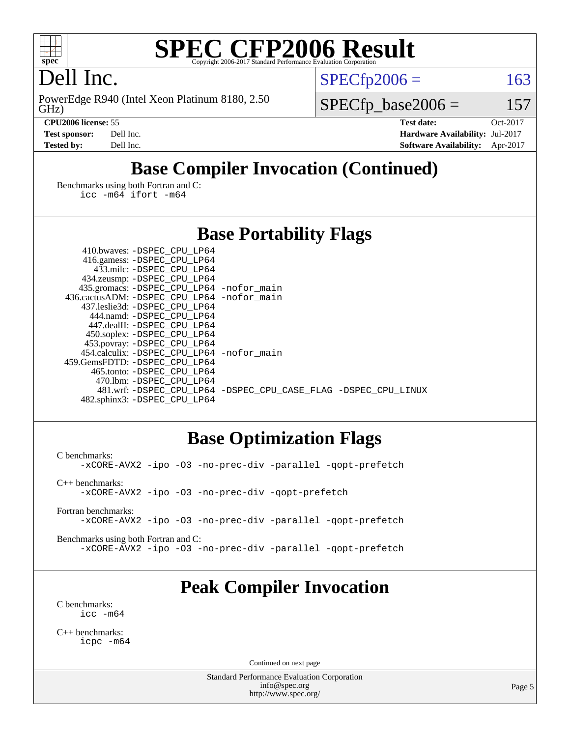

## Dell Inc.

GHz) PowerEdge R940 (Intel Xeon Platinum 8180, 2.50  $SPECTp2006 = 163$ 

 $SPECfp\_base2006 = 157$ 

**[CPU2006 license:](http://www.spec.org/auto/cpu2006/Docs/result-fields.html#CPU2006license)** 55 **[Test date:](http://www.spec.org/auto/cpu2006/Docs/result-fields.html#Testdate)** Oct-2017 **[Test sponsor:](http://www.spec.org/auto/cpu2006/Docs/result-fields.html#Testsponsor)** Dell Inc. **[Hardware Availability:](http://www.spec.org/auto/cpu2006/Docs/result-fields.html#HardwareAvailability)** Jul-2017 **[Tested by:](http://www.spec.org/auto/cpu2006/Docs/result-fields.html#Testedby)** Dell Inc. **[Software Availability:](http://www.spec.org/auto/cpu2006/Docs/result-fields.html#SoftwareAvailability)** Apr-2017

## **[Base Compiler Invocation \(Continued\)](http://www.spec.org/auto/cpu2006/Docs/result-fields.html#BaseCompilerInvocation)**

[Benchmarks using both Fortran and C](http://www.spec.org/auto/cpu2006/Docs/result-fields.html#BenchmarksusingbothFortranandC): [icc -m64](http://www.spec.org/cpu2006/results/res2017q4/cpu2006-20171016-50280.flags.html#user_CC_FCbase_intel_icc_64bit_bda6cc9af1fdbb0edc3795bac97ada53) [ifort -m64](http://www.spec.org/cpu2006/results/res2017q4/cpu2006-20171016-50280.flags.html#user_CC_FCbase_intel_ifort_64bit_ee9d0fb25645d0210d97eb0527dcc06e)

| <b>Base Portability Flags</b> |  |  |
|-------------------------------|--|--|
|-------------------------------|--|--|

| 435.gromacs: -DSPEC_CPU_LP64 -nofor_main                       |
|----------------------------------------------------------------|
| 436.cactusADM: - DSPEC CPU LP64 - nofor main                   |
|                                                                |
|                                                                |
|                                                                |
|                                                                |
|                                                                |
| 454.calculix: - DSPEC CPU LP64 - nofor main                    |
|                                                                |
|                                                                |
|                                                                |
| 481.wrf: -DSPEC CPU_LP64 -DSPEC_CPU_CASE_FLAG -DSPEC_CPU_LINUX |
|                                                                |
|                                                                |

#### **[Base Optimization Flags](http://www.spec.org/auto/cpu2006/Docs/result-fields.html#BaseOptimizationFlags)**

[C benchmarks](http://www.spec.org/auto/cpu2006/Docs/result-fields.html#Cbenchmarks): [-xCORE-AVX2](http://www.spec.org/cpu2006/results/res2017q4/cpu2006-20171016-50280.flags.html#user_CCbase_f-xCORE-AVX2) [-ipo](http://www.spec.org/cpu2006/results/res2017q4/cpu2006-20171016-50280.flags.html#user_CCbase_f-ipo) [-O3](http://www.spec.org/cpu2006/results/res2017q4/cpu2006-20171016-50280.flags.html#user_CCbase_f-O3) [-no-prec-div](http://www.spec.org/cpu2006/results/res2017q4/cpu2006-20171016-50280.flags.html#user_CCbase_f-no-prec-div) [-parallel](http://www.spec.org/cpu2006/results/res2017q4/cpu2006-20171016-50280.flags.html#user_CCbase_f-parallel) [-qopt-prefetch](http://www.spec.org/cpu2006/results/res2017q4/cpu2006-20171016-50280.flags.html#user_CCbase_f-qopt-prefetch) [C++ benchmarks:](http://www.spec.org/auto/cpu2006/Docs/result-fields.html#CXXbenchmarks) [-xCORE-AVX2](http://www.spec.org/cpu2006/results/res2017q4/cpu2006-20171016-50280.flags.html#user_CXXbase_f-xCORE-AVX2) [-ipo](http://www.spec.org/cpu2006/results/res2017q4/cpu2006-20171016-50280.flags.html#user_CXXbase_f-ipo) [-O3](http://www.spec.org/cpu2006/results/res2017q4/cpu2006-20171016-50280.flags.html#user_CXXbase_f-O3) [-no-prec-div](http://www.spec.org/cpu2006/results/res2017q4/cpu2006-20171016-50280.flags.html#user_CXXbase_f-no-prec-div) [-qopt-prefetch](http://www.spec.org/cpu2006/results/res2017q4/cpu2006-20171016-50280.flags.html#user_CXXbase_f-qopt-prefetch)

[Fortran benchmarks](http://www.spec.org/auto/cpu2006/Docs/result-fields.html#Fortranbenchmarks): [-xCORE-AVX2](http://www.spec.org/cpu2006/results/res2017q4/cpu2006-20171016-50280.flags.html#user_FCbase_f-xCORE-AVX2) [-ipo](http://www.spec.org/cpu2006/results/res2017q4/cpu2006-20171016-50280.flags.html#user_FCbase_f-ipo) [-O3](http://www.spec.org/cpu2006/results/res2017q4/cpu2006-20171016-50280.flags.html#user_FCbase_f-O3) [-no-prec-div](http://www.spec.org/cpu2006/results/res2017q4/cpu2006-20171016-50280.flags.html#user_FCbase_f-no-prec-div) [-parallel](http://www.spec.org/cpu2006/results/res2017q4/cpu2006-20171016-50280.flags.html#user_FCbase_f-parallel) [-qopt-prefetch](http://www.spec.org/cpu2006/results/res2017q4/cpu2006-20171016-50280.flags.html#user_FCbase_f-qopt-prefetch)

[Benchmarks using both Fortran and C](http://www.spec.org/auto/cpu2006/Docs/result-fields.html#BenchmarksusingbothFortranandC): [-xCORE-AVX2](http://www.spec.org/cpu2006/results/res2017q4/cpu2006-20171016-50280.flags.html#user_CC_FCbase_f-xCORE-AVX2) [-ipo](http://www.spec.org/cpu2006/results/res2017q4/cpu2006-20171016-50280.flags.html#user_CC_FCbase_f-ipo) [-O3](http://www.spec.org/cpu2006/results/res2017q4/cpu2006-20171016-50280.flags.html#user_CC_FCbase_f-O3) [-no-prec-div](http://www.spec.org/cpu2006/results/res2017q4/cpu2006-20171016-50280.flags.html#user_CC_FCbase_f-no-prec-div) [-parallel](http://www.spec.org/cpu2006/results/res2017q4/cpu2006-20171016-50280.flags.html#user_CC_FCbase_f-parallel) [-qopt-prefetch](http://www.spec.org/cpu2006/results/res2017q4/cpu2006-20171016-50280.flags.html#user_CC_FCbase_f-qopt-prefetch)

#### **[Peak Compiler Invocation](http://www.spec.org/auto/cpu2006/Docs/result-fields.html#PeakCompilerInvocation)**

[C benchmarks](http://www.spec.org/auto/cpu2006/Docs/result-fields.html#Cbenchmarks): [icc -m64](http://www.spec.org/cpu2006/results/res2017q4/cpu2006-20171016-50280.flags.html#user_CCpeak_intel_icc_64bit_bda6cc9af1fdbb0edc3795bac97ada53)

[C++ benchmarks:](http://www.spec.org/auto/cpu2006/Docs/result-fields.html#CXXbenchmarks) [icpc -m64](http://www.spec.org/cpu2006/results/res2017q4/cpu2006-20171016-50280.flags.html#user_CXXpeak_intel_icpc_64bit_fc66a5337ce925472a5c54ad6a0de310)

Continued on next page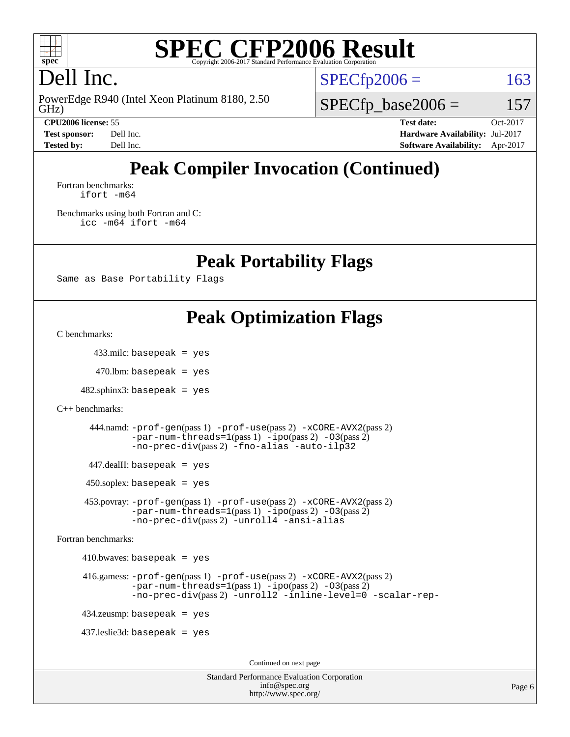

## Dell Inc.

GHz) PowerEdge R940 (Intel Xeon Platinum 8180, 2.50  $SPECTp2006 = 163$ 

**[Test sponsor:](http://www.spec.org/auto/cpu2006/Docs/result-fields.html#Testsponsor)** Dell Inc. **[Hardware Availability:](http://www.spec.org/auto/cpu2006/Docs/result-fields.html#HardwareAvailability)** Jul-2017 **[Tested by:](http://www.spec.org/auto/cpu2006/Docs/result-fields.html#Testedby)** Dell Inc. **[Software Availability:](http://www.spec.org/auto/cpu2006/Docs/result-fields.html#SoftwareAvailability)** Apr-2017

 $SPECfp\_base2006 = 157$ 

**[CPU2006 license:](http://www.spec.org/auto/cpu2006/Docs/result-fields.html#CPU2006license)** 55 **[Test date:](http://www.spec.org/auto/cpu2006/Docs/result-fields.html#Testdate)** Oct-2017

## **[Peak Compiler Invocation \(Continued\)](http://www.spec.org/auto/cpu2006/Docs/result-fields.html#PeakCompilerInvocation)**

[Fortran benchmarks](http://www.spec.org/auto/cpu2006/Docs/result-fields.html#Fortranbenchmarks): [ifort -m64](http://www.spec.org/cpu2006/results/res2017q4/cpu2006-20171016-50280.flags.html#user_FCpeak_intel_ifort_64bit_ee9d0fb25645d0210d97eb0527dcc06e)

[Benchmarks using both Fortran and C](http://www.spec.org/auto/cpu2006/Docs/result-fields.html#BenchmarksusingbothFortranandC): [icc -m64](http://www.spec.org/cpu2006/results/res2017q4/cpu2006-20171016-50280.flags.html#user_CC_FCpeak_intel_icc_64bit_bda6cc9af1fdbb0edc3795bac97ada53) [ifort -m64](http://www.spec.org/cpu2006/results/res2017q4/cpu2006-20171016-50280.flags.html#user_CC_FCpeak_intel_ifort_64bit_ee9d0fb25645d0210d97eb0527dcc06e)

**[Peak Portability Flags](http://www.spec.org/auto/cpu2006/Docs/result-fields.html#PeakPortabilityFlags)**

Same as Base Portability Flags

## **[Peak Optimization Flags](http://www.spec.org/auto/cpu2006/Docs/result-fields.html#PeakOptimizationFlags)**

[C benchmarks](http://www.spec.org/auto/cpu2006/Docs/result-fields.html#Cbenchmarks):

433.milc: basepeak = yes

 $470$ .lbm: basepeak = yes

 $482$ .sphinx $3$ : basepeak = yes

```
C++ benchmarks:
```

```
 444.namd: -prof-gen(pass 1) -prof-use(pass 2) -xCORE-AVX2(pass 2)
-par-num-threads=1-ipo-O3(pass 2)-no-prec-div(pass 2) -fno-alias -auto-ilp32
```
447.dealII: basepeak = yes

 $450$ .soplex: basepeak = yes

 453.povray: [-prof-gen](http://www.spec.org/cpu2006/results/res2017q4/cpu2006-20171016-50280.flags.html#user_peakPASS1_CXXFLAGSPASS1_LDFLAGS453_povray_prof_gen_e43856698f6ca7b7e442dfd80e94a8fc)(pass 1) [-prof-use](http://www.spec.org/cpu2006/results/res2017q4/cpu2006-20171016-50280.flags.html#user_peakPASS2_CXXFLAGSPASS2_LDFLAGS453_povray_prof_use_bccf7792157ff70d64e32fe3e1250b55)(pass 2) [-xCORE-AVX2](http://www.spec.org/cpu2006/results/res2017q4/cpu2006-20171016-50280.flags.html#user_peakPASS2_CXXFLAGSPASS2_LDFLAGS453_povray_f-xCORE-AVX2)(pass 2)  $-par-num-threads=1(pass 1) -ipo(pass 2) -O3(pass 2)$  $-par-num-threads=1(pass 1) -ipo(pass 2) -O3(pass 2)$  $-par-num-threads=1(pass 1) -ipo(pass 2) -O3(pass 2)$  $-par-num-threads=1(pass 1) -ipo(pass 2) -O3(pass 2)$  $-par-num-threads=1(pass 1) -ipo(pass 2) -O3(pass 2)$  $-par-num-threads=1(pass 1) -ipo(pass 2) -O3(pass 2)$ [-no-prec-div](http://www.spec.org/cpu2006/results/res2017q4/cpu2006-20171016-50280.flags.html#user_peakPASS2_CXXFLAGSPASS2_LDFLAGS453_povray_f-no-prec-div)(pass 2) [-unroll4](http://www.spec.org/cpu2006/results/res2017q4/cpu2006-20171016-50280.flags.html#user_peakCXXOPTIMIZE453_povray_f-unroll_4e5e4ed65b7fd20bdcd365bec371b81f) [-ansi-alias](http://www.spec.org/cpu2006/results/res2017q4/cpu2006-20171016-50280.flags.html#user_peakCXXOPTIMIZE453_povray_f-ansi-alias)

[Fortran benchmarks](http://www.spec.org/auto/cpu2006/Docs/result-fields.html#Fortranbenchmarks):

 $410.bwaves: basepeak = yes$ 

```
 416.gamess: -prof-gen(pass 1) -prof-use(pass 2) -xCORE-AVX2(pass 2)
  -par-num-threads=1-ipo-O3(pass 2)-no-prec-div(pass 2) -unroll2 -inline-level=0 -scalar-rep-
```
434.zeusmp: basepeak = yes

437.leslie3d: basepeak = yes

Continued on next page